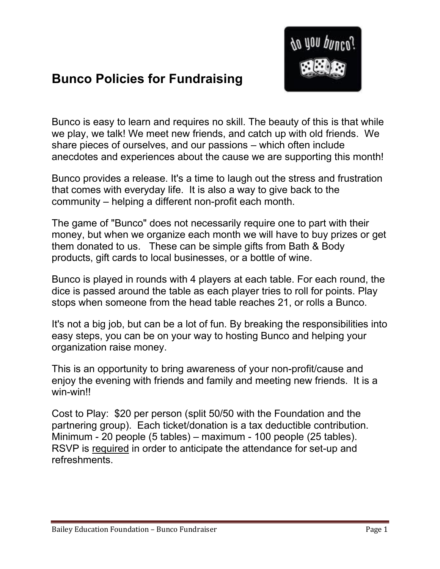

## **Bunco Policies for Fundraising**

Bunco is easy to learn and requires no skill. The beauty of this is that while we play, we talk! We meet new friends, and catch up with old friends. We share pieces of ourselves, and our passions – which often include anecdotes and experiences about the cause we are supporting this month!

Bunco provides a release. It's a time to laugh out the stress and frustration that comes with everyday life. It is also a way to give back to the community – helping a different non-profit each month.

The game of "Bunco" does not necessarily require one to part with their money, but when we organize each month we will have to buy prizes or get them donated to us. These can be simple gifts from Bath & Body products, gift cards to local businesses, or a bottle of wine.

Bunco is played in rounds with 4 players at each table. For each round, the dice is passed around the table as each player tries to roll for points. Play stops when someone from the head table reaches 21, or rolls a Bunco.

It's not a big job, but can be a lot of fun. By breaking the responsibilities into easy steps, you can be on your way to hosting Bunco and helping your organization raise money.

This is an opportunity to bring awareness of your non-profit/cause and enjoy the evening with friends and family and meeting new friends. It is a win-win!!

Cost to Play: \$20 per person (split 50/50 with the Foundation and the partnering group). Each ticket/donation is a tax deductible contribution. Minimum - 20 people (5 tables) – maximum - 100 people (25 tables). RSVP is required in order to anticipate the attendance for set-up and refreshments.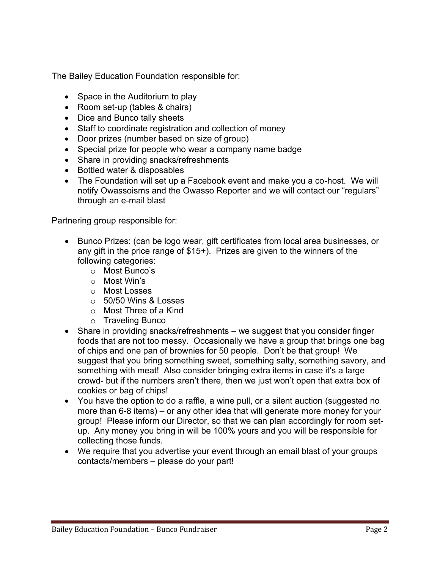The Bailey Education Foundation responsible for:

- Space in the Auditorium to play
- Room set-up (tables & chairs)
- Dice and Bunco tally sheets
- Staff to coordinate registration and collection of money
- Door prizes (number based on size of group)
- Special prize for people who wear a company name badge
- Share in providing snacks/refreshments
- Bottled water & disposables
- The Foundation will set up a Facebook event and make you a co-host. We will notify Owassoisms and the Owasso Reporter and we will contact our "regulars" through an e-mail blast

Partnering group responsible for:

- Bunco Prizes: (can be logo wear, gift certificates from local area businesses, or any gift in the price range of \$15+). Prizes are given to the winners of the following categories:
	- o Most Bunco's
	- o Most Win's
	- o Most Losses
	- o 50/50 Wins & Losses
	- o Most Three of a Kind
	- o Traveling Bunco
- Share in providing snacks/refreshments we suggest that you consider finger foods that are not too messy. Occasionally we have a group that brings one bag of chips and one pan of brownies for 50 people. Don't be that group! We suggest that you bring something sweet, something salty, something savory, and something with meat! Also consider bringing extra items in case it's a large crowd- but if the numbers aren't there, then we just won't open that extra box of cookies or bag of chips!
- You have the option to do a raffle, a wine pull, or a silent auction (suggested no more than 6-8 items) – or any other idea that will generate more money for your group! Please inform our Director, so that we can plan accordingly for room setup. Any money you bring in will be 100% yours and you will be responsible for collecting those funds.
- We require that you advertise your event through an email blast of your groups contacts/members – please do your part!